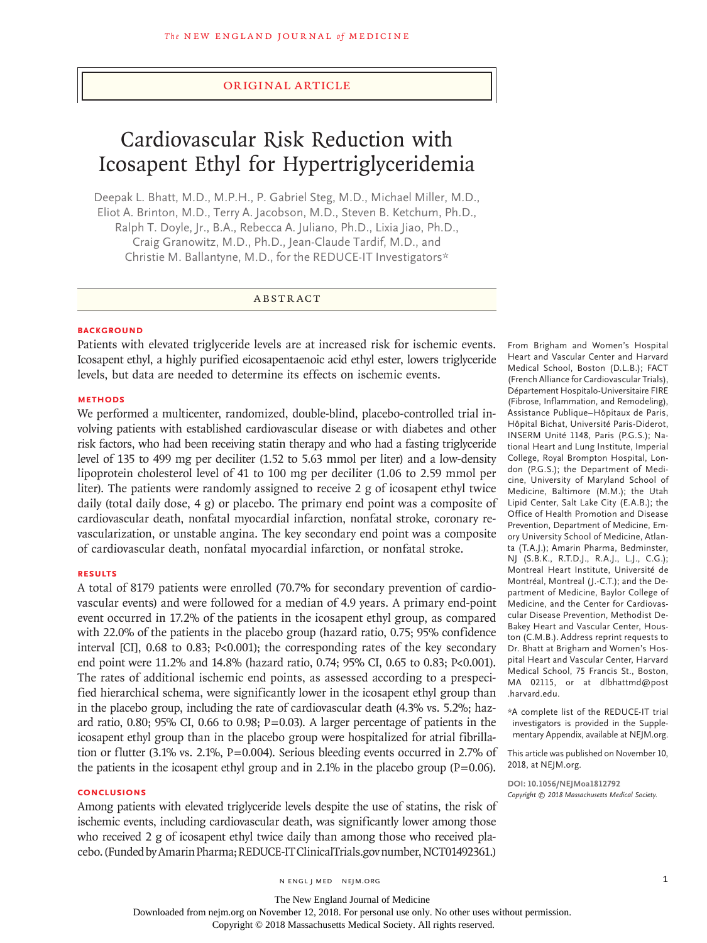## Original Article

# Cardiovascular Risk Reduction with Icosapent Ethyl for Hypertriglyceridemia

Deepak L. Bhatt, M.D., M.P.H., P. Gabriel Steg, M.D., Michael Miller, M.D., Eliot A. Brinton, M.D., Terry A. Jacobson, M.D., Steven B. Ketchum, Ph.D., Ralph T. Doyle, Jr., B.A., Rebecca A. Juliano, Ph.D., Lixia Jiao, Ph.D., Craig Granowitz, M.D., Ph.D., Jean-Claude Tardif, M.D., and Christie M. Ballantyne, M.D., for the REDUCE-IT Investigators\*

### ABSTRACT

#### **BACKGROUND**

Patients with elevated triglyceride levels are at increased risk for ischemic events. Icosapent ethyl, a highly purified eicosapentaenoic acid ethyl ester, lowers triglyceride levels, but data are needed to determine its effects on ischemic events.

#### **METHODS**

We performed a multicenter, randomized, double-blind, placebo-controlled trial involving patients with established cardiovascular disease or with diabetes and other risk factors, who had been receiving statin therapy and who had a fasting triglyceride level of 135 to 499 mg per deciliter (1.52 to 5.63 mmol per liter) and a low-density lipoprotein cholesterol level of 41 to 100 mg per deciliter (1.06 to 2.59 mmol per liter). The patients were randomly assigned to receive 2 g of icosapent ethyl twice daily (total daily dose, 4 g) or placebo. The primary end point was a composite of cardiovascular death, nonfatal myocardial infarction, nonfatal stroke, coronary revascularization, or unstable angina. The key secondary end point was a composite of cardiovascular death, nonfatal myocardial infarction, or nonfatal stroke.

#### **RESULTS**

A total of 8179 patients were enrolled (70.7% for secondary prevention of cardiovascular events) and were followed for a median of 4.9 years. A primary end-point event occurred in 17.2% of the patients in the icosapent ethyl group, as compared with 22.0% of the patients in the placebo group (hazard ratio, 0.75; 95% confidence interval [CI], 0.68 to 0.83; P<0.001); the corresponding rates of the key secondary end point were 11.2% and 14.8% (hazard ratio, 0.74; 95% CI, 0.65 to 0.83; P<0.001). The rates of additional ischemic end points, as assessed according to a prespecified hierarchical schema, were significantly lower in the icosapent ethyl group than in the placebo group, including the rate of cardiovascular death (4.3% vs. 5.2%; hazard ratio,  $0.80$ ;  $95\%$  CI,  $0.66$  to  $0.98$ ;  $P=0.03$ ). A larger percentage of patients in the icosapent ethyl group than in the placebo group were hospitalized for atrial fibrillation or flutter (3.1% vs. 2.1%, P=0.004). Serious bleeding events occurred in 2.7% of the patients in the icosapent ethyl group and in 2.1% in the placebo group  $(P=0.06)$ .

# **CONCLUSIONS**

Among patients with elevated triglyceride levels despite the use of statins, the risk of ischemic events, including cardiovascular death, was significantly lower among those who received 2 g of icosapent ethyl twice daily than among those who received placebo. (Funded by Amarin Pharma; REDUCE-IT ClinicalTrials.gov number, NCT01492361.)

From Brigham and Women's Hospital Heart and Vascular Center and Harvard Medical School, Boston (D.L.B.); FACT (French Alliance for Cardiovascular Trials), Département Hospitalo-Universitaire FIRE (Fibrose, Inflammation, and Remodeling), Assistance Publique–Hôpitaux de Paris, Hôpital Bichat, Université Paris-Diderot, INSERM Unité 1148, Paris (P.G.S.); National Heart and Lung Institute, Imperial College, Royal Brompton Hospital, London (P.G.S.); the Department of Medicine, University of Maryland School of Medicine, Baltimore (M.M.); the Utah Lipid Center, Salt Lake City (E.A.B.); the Office of Health Promotion and Disease Prevention, Department of Medicine, Emory University School of Medicine, Atlanta (T.A.J.); Amarin Pharma, Bedminster, NJ (S.B.K., R.T.D.J., R.A.J., L.J., C.G.); Montreal Heart Institute, Université de Montréal, Montreal (J.-C.T.); and the Department of Medicine, Baylor College of Medicine, and the Center for Cardiovascular Disease Prevention, Methodist De-Bakey Heart and Vascular Center, Houston (C.M.B.). Address reprint requests to Dr. Bhatt at Brigham and Women's Hospital Heart and Vascular Center, Harvard Medical School, 75 Francis St., Boston, MA 02115, or at dlbhattmd@post .harvard.edu.

\*A complete list of the REDUCE-IT trial investigators is provided in the Supplementary Appendix, available at NEJM.org.

This article was published on November 10, 2018, at NEJM.org.

**DOI: 10.1056/NEJMoa1812792** *Copyright © 2018 Massachusetts Medical Society.*

n engl j med nejm.org 1

Downloaded from nejm.org on November 12, 2018. For personal use only. No other uses without permission.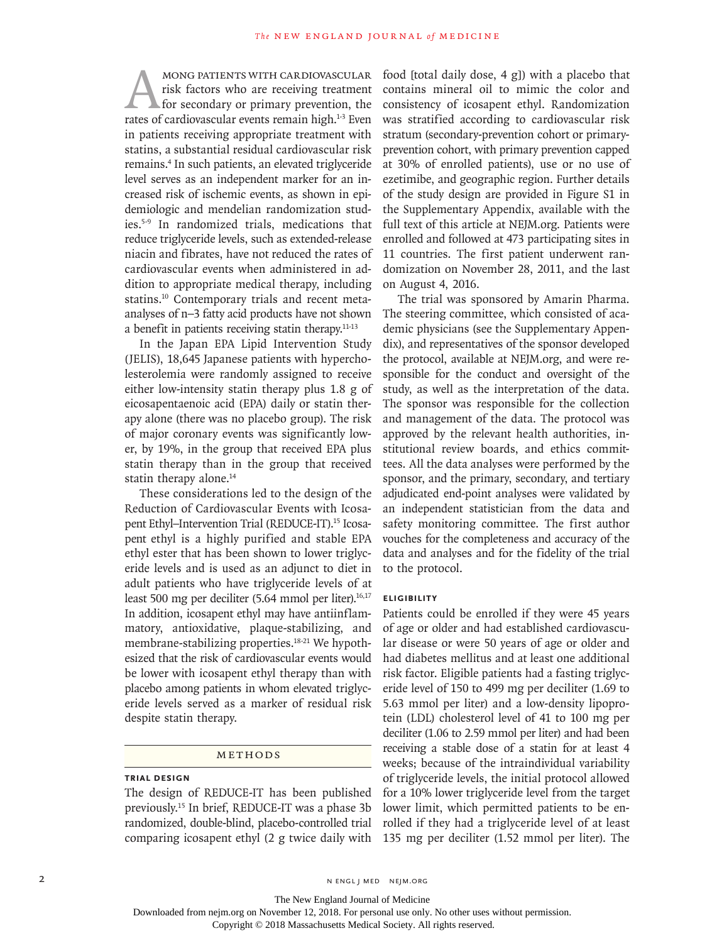MONG PATIENTS WITH CARDIOVASCULAR<br>risk factors who are receiving treatment<br>for secondary or primary prevention, the<br>rates of cardiovascular events remain high.<sup>1-3</sup> Even risk factors who are receiving treatment for secondary or primary prevention, the rates of cardiovascular events remain high.<sup>1-3</sup> Even in patients receiving appropriate treatment with statins, a substantial residual cardiovascular risk remains.4 In such patients, an elevated triglyceride level serves as an independent marker for an increased risk of ischemic events, as shown in epidemiologic and mendelian randomization studies.5-9 In randomized trials, medications that reduce triglyceride levels, such as extended-release niacin and fibrates, have not reduced the rates of cardiovascular events when administered in addition to appropriate medical therapy, including statins.10 Contemporary trials and recent metaanalyses of n−3 fatty acid products have not shown a benefit in patients receiving statin therapy.11-13

In the Japan EPA Lipid Intervention Study (JELIS), 18,645 Japanese patients with hypercholesterolemia were randomly assigned to receive either low-intensity statin therapy plus 1.8 g of eicosapentaenoic acid (EPA) daily or statin therapy alone (there was no placebo group). The risk of major coronary events was significantly lower, by 19%, in the group that received EPA plus statin therapy than in the group that received statin therapy alone.<sup>14</sup>

These considerations led to the design of the Reduction of Cardiovascular Events with Icosapent Ethyl-Intervention Trial (REDUCE-IT).<sup>15</sup> Icosapent ethyl is a highly purified and stable EPA ethyl ester that has been shown to lower triglyceride levels and is used as an adjunct to diet in adult patients who have triglyceride levels of at least 500 mg per deciliter (5.64 mmol per liter).<sup>16,17</sup> In addition, icosapent ethyl may have antiinflammatory, antioxidative, plaque-stabilizing, and membrane-stabilizing properties.<sup>18-21</sup> We hypothesized that the risk of cardiovascular events would be lower with icosapent ethyl therapy than with placebo among patients in whom elevated triglyceride levels served as a marker of residual risk despite statin therapy.

## Methods

## **Trial Design**

The design of REDUCE-IT has been published previously.15 In brief, REDUCE-IT was a phase 3b randomized, double-blind, placebo-controlled trial comparing icosapent ethyl (2 g twice daily with food [total daily dose, 4 g]) with a placebo that contains mineral oil to mimic the color and consistency of icosapent ethyl. Randomization was stratified according to cardiovascular risk stratum (secondary-prevention cohort or primaryprevention cohort, with primary prevention capped at 30% of enrolled patients), use or no use of ezetimibe, and geographic region. Further details of the study design are provided in Figure S1 in the Supplementary Appendix, available with the full text of this article at NEJM.org. Patients were enrolled and followed at 473 participating sites in 11 countries. The first patient underwent randomization on November 28, 2011, and the last on August 4, 2016.

The trial was sponsored by Amarin Pharma. The steering committee, which consisted of academic physicians (see the Supplementary Appendix), and representatives of the sponsor developed the protocol, available at NEJM.org, and were responsible for the conduct and oversight of the study, as well as the interpretation of the data. The sponsor was responsible for the collection and management of the data. The protocol was approved by the relevant health authorities, institutional review boards, and ethics committees. All the data analyses were performed by the sponsor, and the primary, secondary, and tertiary adjudicated end-point analyses were validated by an independent statistician from the data and safety monitoring committee. The first author vouches for the completeness and accuracy of the data and analyses and for the fidelity of the trial to the protocol.

## **Eligibility**

Patients could be enrolled if they were 45 years of age or older and had established cardiovascular disease or were 50 years of age or older and had diabetes mellitus and at least one additional risk factor. Eligible patients had a fasting triglyceride level of 150 to 499 mg per deciliter (1.69 to 5.63 mmol per liter) and a low-density lipoprotein (LDL) cholesterol level of 41 to 100 mg per deciliter (1.06 to 2.59 mmol per liter) and had been receiving a stable dose of a statin for at least 4 weeks; because of the intraindividual variability of triglyceride levels, the initial protocol allowed for a 10% lower triglyceride level from the target lower limit, which permitted patients to be enrolled if they had a triglyceride level of at least 135 mg per deciliter (1.52 mmol per liter). The

2 N ENGL J MED NEJM.ORG

The New England Journal of Medicine Downloaded from nejm.org on November 12, 2018. For personal use only. No other uses without permission.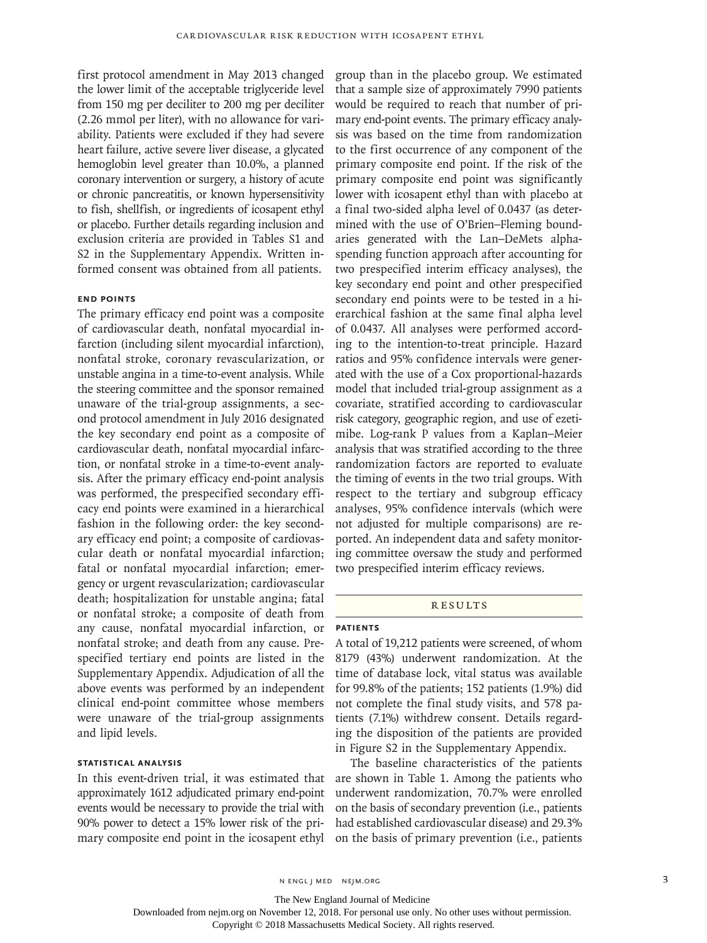first protocol amendment in May 2013 changed the lower limit of the acceptable triglyceride level from 150 mg per deciliter to 200 mg per deciliter (2.26 mmol per liter), with no allowance for variability. Patients were excluded if they had severe heart failure, active severe liver disease, a glycated hemoglobin level greater than 10.0%, a planned coronary intervention or surgery, a history of acute or chronic pancreatitis, or known hypersensitivity to fish, shellfish, or ingredients of icosapent ethyl or placebo. Further details regarding inclusion and exclusion criteria are provided in Tables S1 and S2 in the Supplementary Appendix. Written informed consent was obtained from all patients.

#### **End Points**

The primary efficacy end point was a composite of cardiovascular death, nonfatal myocardial infarction (including silent myocardial infarction), nonfatal stroke, coronary revascularization, or unstable angina in a time-to-event analysis. While the steering committee and the sponsor remained unaware of the trial-group assignments, a second protocol amendment in July 2016 designated the key secondary end point as a composite of cardiovascular death, nonfatal myocardial infarction, or nonfatal stroke in a time-to-event analysis. After the primary efficacy end-point analysis was performed, the prespecified secondary efficacy end points were examined in a hierarchical fashion in the following order: the key secondary efficacy end point; a composite of cardiovascular death or nonfatal myocardial infarction; fatal or nonfatal myocardial infarction; emergency or urgent revascularization; cardiovascular death; hospitalization for unstable angina; fatal or nonfatal stroke; a composite of death from any cause, nonfatal myocardial infarction, or nonfatal stroke; and death from any cause. Prespecified tertiary end points are listed in the Supplementary Appendix. Adjudication of all the above events was performed by an independent clinical end-point committee whose members were unaware of the trial-group assignments and lipid levels.

## **Statistical Analysis**

In this event-driven trial, it was estimated that approximately 1612 adjudicated primary end-point events would be necessary to provide the trial with 90% power to detect a 15% lower risk of the primary composite end point in the icosapent ethyl

group than in the placebo group. We estimated that a sample size of approximately 7990 patients would be required to reach that number of primary end-point events. The primary efficacy analysis was based on the time from randomization to the first occurrence of any component of the primary composite end point. If the risk of the primary composite end point was significantly lower with icosapent ethyl than with placebo at a final two-sided alpha level of 0.0437 (as determined with the use of O'Brien–Fleming boundaries generated with the Lan–DeMets alphaspending function approach after accounting for two prespecified interim efficacy analyses), the key secondary end point and other prespecified secondary end points were to be tested in a hierarchical fashion at the same final alpha level of 0.0437. All analyses were performed according to the intention-to-treat principle. Hazard ratios and 95% confidence intervals were generated with the use of a Cox proportional-hazards model that included trial-group assignment as a covariate, stratified according to cardiovascular risk category, geographic region, and use of ezetimibe. Log-rank P values from a Kaplan–Meier analysis that was stratified according to the three randomization factors are reported to evaluate the timing of events in the two trial groups. With respect to the tertiary and subgroup efficacy analyses, 95% confidence intervals (which were not adjusted for multiple comparisons) are reported. An independent data and safety monitoring committee oversaw the study and performed two prespecified interim efficacy reviews.

## **RESULTS**

## **Patients**

A total of 19,212 patients were screened, of whom 8179 (43%) underwent randomization. At the time of database lock, vital status was available for 99.8% of the patients; 152 patients (1.9%) did not complete the final study visits, and 578 patients (7.1%) withdrew consent. Details regarding the disposition of the patients are provided in Figure S2 in the Supplementary Appendix.

The baseline characteristics of the patients are shown in Table 1. Among the patients who underwent randomization, 70.7% were enrolled on the basis of secondary prevention (i.e., patients had established cardiovascular disease) and 29.3% on the basis of primary prevention (i.e., patients

n engl j med nejm.org 3

The New England Journal of Medicine

Downloaded from nejm.org on November 12, 2018. For personal use only. No other uses without permission.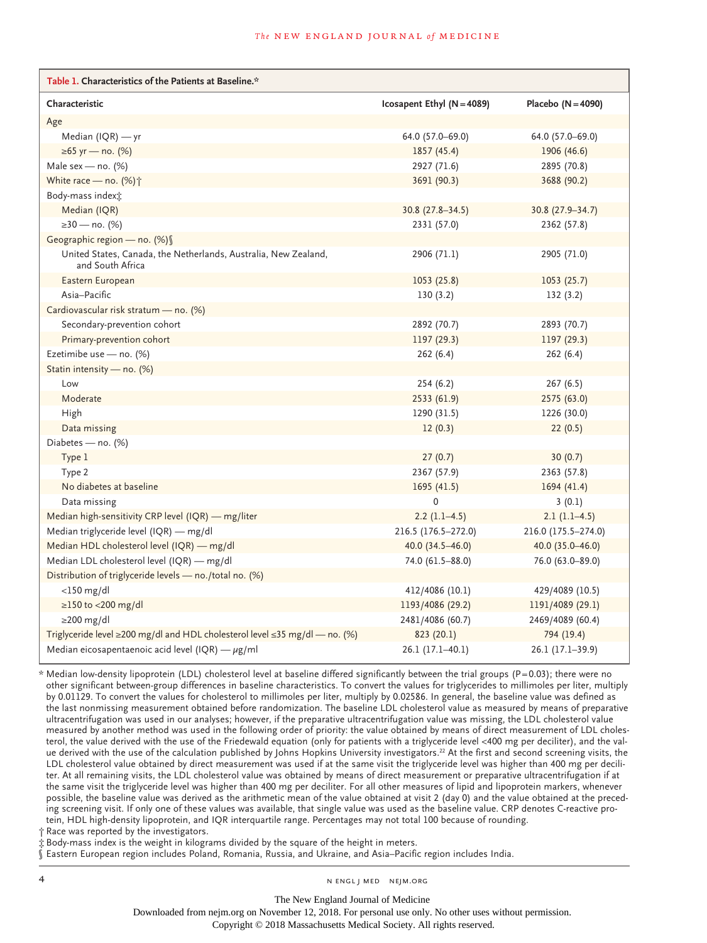| Table 1. Characteristics of the Patients at Baseline.*                                  |                              |                      |
|-----------------------------------------------------------------------------------------|------------------------------|----------------------|
| Characteristic                                                                          | Icosapent Ethyl $(N = 4089)$ | Placebo $(N = 4090)$ |
| Age                                                                                     |                              |                      |
| Median $I(QR)$ — yr                                                                     | 64.0 (57.0-69.0)             | 64.0 (57.0-69.0)     |
| ≥65 yr — no. (%)                                                                        | 1857 (45.4)                  | 1906 (46.6)          |
| Male sex — no. $(%)$                                                                    | 2927 (71.6)                  | 2895 (70.8)          |
| White race – no. $(\%)\uparrow$                                                         | 3691 (90.3)                  | 3688 (90.2)          |
| Body-mass index;                                                                        |                              |                      |
| Median (IQR)                                                                            | $30.8(27.8-34.5)$            | 30.8 (27.9 - 34.7)   |
| ≥30 — no. (%)                                                                           | 2331 (57.0)                  | 2362 (57.8)          |
| Geographic region - no. (%) §                                                           |                              |                      |
| United States, Canada, the Netherlands, Australia, New Zealand,<br>and South Africa     | 2906 (71.1)                  | 2905 (71.0)          |
| Eastern European                                                                        | 1053 (25.8)                  | 1053(25.7)           |
| Asia-Pacific                                                                            | 130(3.2)                     | 132(3.2)             |
| Cardiovascular risk stratum - no. (%)                                                   |                              |                      |
| Secondary-prevention cohort                                                             | 2892 (70.7)                  | 2893 (70.7)          |
| Primary-prevention cohort                                                               | 1197 (29.3)                  | 1197(29.3)           |
| Ezetimibe use - no. (%)                                                                 | 262(6.4)                     | 262(6.4)             |
| Statin intensity - no. (%)                                                              |                              |                      |
| Low                                                                                     | 254 (6.2)                    | 267 (6.5)            |
| Moderate                                                                                | 2533 (61.9)                  | 2575 (63.0)          |
| High                                                                                    | 1290 (31.5)                  | 1226 (30.0)          |
| Data missing                                                                            | 12(0.3)                      | 22(0.5)              |
| Diabetes - no. (%)                                                                      |                              |                      |
| Type 1                                                                                  | 27(0.7)                      | 30(0.7)              |
| Type 2                                                                                  | 2367 (57.9)                  | 2363 (57.8)          |
| No diabetes at baseline                                                                 | 1695(41.5)                   | 1694(41.4)           |
| Data missing                                                                            | $\mathbf 0$                  | 3(0.1)               |
| Median high-sensitivity CRP level $(IQR)$ - mg/liter                                    | $2.2(1.1-4.5)$               | $2.1(1.1-4.5)$       |
| Median triglyceride level (IQR) - mg/dl                                                 | 216.5 (176.5-272.0)          | 216.0 (175.5-274.0)  |
| Median HDL cholesterol level (IQR) - mg/dl                                              | 40.0 (34.5-46.0)             | 40.0 $(35.0 - 46.0)$ |
| Median LDL cholesterol level (IQR) - mg/dl                                              | 74.0 (61.5-88.0)             | 76.0 (63.0-89.0)     |
| Distribution of triglyceride levels - no./total no. (%)                                 |                              |                      |
| $<$ 150 mg/dl                                                                           | 412/4086 (10.1)              | 429/4089 (10.5)      |
| $\geq$ 150 to <200 mg/dl                                                                | 1193/4086 (29.2)             | 1191/4089 (29.1)     |
| $\geq$ 200 mg/dl                                                                        | 2481/4086 (60.7)             | 2469/4089 (60.4)     |
| Triglyceride level $\geq$ 200 mg/dl and HDL cholesterol level $\leq$ 35 mg/dl — no. (%) | 823 (20.1)                   | 794 (19.4)           |
| Median eicosapentaenoic acid level (IQR) — $\mu$ g/ml                                   | 26.1 (17.1-40.1)             | 26.1 (17.1-39.9)     |

\* Median low-density lipoprotein (LDL) cholesterol level at baseline differed significantly between the trial groups (P=0.03); there were no other significant between-group differences in baseline characteristics. To convert the values for triglycerides to millimoles per liter, multiply by 0.01129. To convert the values for cholesterol to millimoles per liter, multiply by 0.02586. In general, the baseline value was defined as the last nonmissing measurement obtained before randomization. The baseline LDL cholesterol value as measured by means of preparative ultracentrifugation was used in our analyses; however, if the preparative ultracentrifugation value was missing, the LDL cholesterol value measured by another method was used in the following order of priority: the value obtained by means of direct measurement of LDL cholesterol, the value derived with the use of the Friedewald equation (only for patients with a triglyceride level <400 mg per deciliter), and the value derived with the use of the calculation published by Johns Hopkins University investigators.<sup>22</sup> At the first and second screening visits, the LDL cholesterol value obtained by direct measurement was used if at the same visit the triglyceride level was higher than 400 mg per deciliter. At all remaining visits, the LDL cholesterol value was obtained by means of direct measurement or preparative ultracentrifugation if at the same visit the triglyceride level was higher than 400 mg per deciliter. For all other measures of lipid and lipoprotein markers, whenever possible, the baseline value was derived as the arithmetic mean of the value obtained at visit 2 (day 0) and the value obtained at the preceding screening visit. If only one of these values was available, that single value was used as the baseline value. CRP denotes C-reactive protein, HDL high-density lipoprotein, and IQR interquartile range. Percentages may not total 100 because of rounding.

Race was reported by the investigators.

the Body-mass index is the weight in kilograms divided by the square of the height in meters.

§ Eastern European region includes Poland, Romania, Russia, and Ukraine, and Asia–Pacific region includes India.

4 n engl j med nejm.org nejm.org neighborhood in the negative media in the negative media in the negative media in the negative media in the negative media in the negative media in the negative media in the negative media

The New England Journal of Medicine

Downloaded from nejm.org on November 12, 2018. For personal use only. No other uses without permission.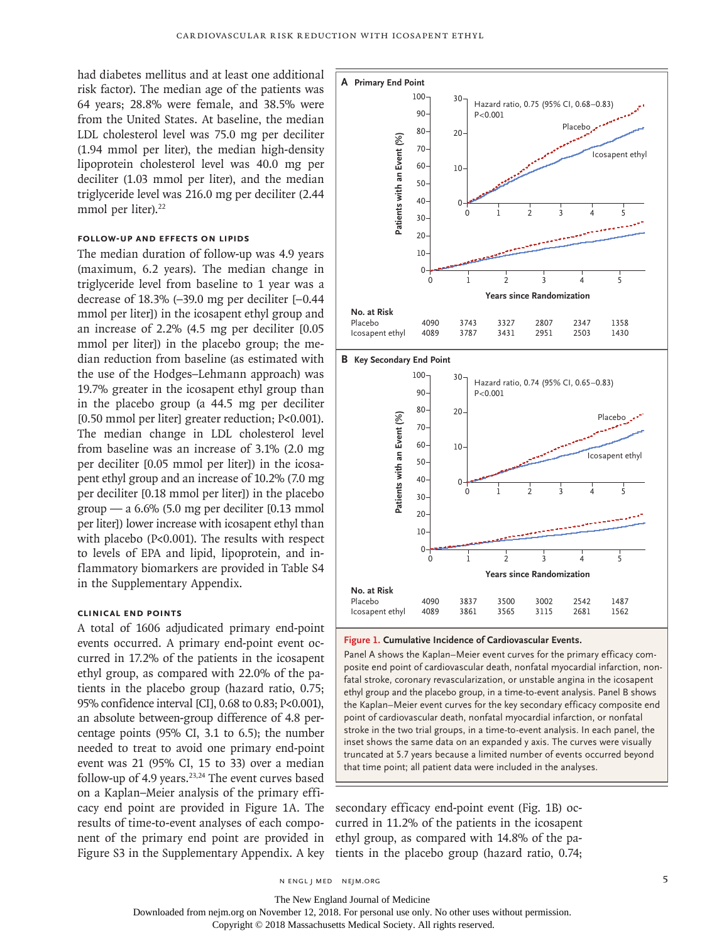had diabetes mellitus and at least one additional risk factor). The median age of the patients was 64 years; 28.8% were female, and 38.5% were from the United States. At baseline, the median LDL cholesterol level was 75.0 mg per deciliter (1.94 mmol per liter), the median high-density lipoprotein cholesterol level was 40.0 mg per deciliter (1.03 mmol per liter), and the median triglyceride level was 216.0 mg per deciliter (2.44 mmol per liter).<sup>22</sup>

#### **Follow-up and Effects on Lipids**

The median duration of follow-up was 4.9 years (maximum, 6.2 years). The median change in triglyceride level from baseline to 1 year was a decrease of 18.3% (−39.0 mg per deciliter [−0.44 mmol per liter]) in the icosapent ethyl group and an increase of 2.2% (4.5 mg per deciliter [0.05 mmol per liter]) in the placebo group; the median reduction from baseline (as estimated with the use of the Hodges–Lehmann approach) was 19.7% greater in the icosapent ethyl group than in the placebo group (a 44.5 mg per deciliter [0.50 mmol per liter] greater reduction; P<0.001). The median change in LDL cholesterol level from baseline was an increase of 3.1% (2.0 mg per deciliter [0.05 mmol per liter]) in the icosapent ethyl group and an increase of 10.2% (7.0 mg per deciliter [0.18 mmol per liter]) in the placebo  $group - a 6.6% (5.0 mg per deciliter [0.13 mmol])$ per liter]) lower increase with icosapent ethyl than with placebo (P<0.001). The results with respect to levels of EPA and lipid, lipoprotein, and inflammatory biomarkers are provided in Table S4 in the Supplementary Appendix.

### **Clinical End Points**

A total of 1606 adjudicated primary end-point events occurred. A primary end-point event occurred in 17.2% of the patients in the icosapent ethyl group, as compared with 22.0% of the patients in the placebo group (hazard ratio, 0.75; 95% confidence interval [CI], 0.68 to 0.83; P<0.001), an absolute between-group difference of 4.8 percentage points (95% CI, 3.1 to 6.5); the number needed to treat to avoid one primary end-point event was 21 (95% CI, 15 to 33) over a median follow-up of 4.9 years.<sup>23,24</sup> The event curves based on a Kaplan–Meier analysis of the primary efficacy end point are provided in Figure 1A. The results of time-to-event analyses of each component of the primary end point are provided in Figure S3 in the Supplementary Appendix. A key





#### **Figure 1. Cumulative Incidence of Cardiovascular Events.**

Panel A shows the Kaplan–Meier event curves for the primary efficacy composite end point of cardiovascular death, nonfatal myocardial infarction, nonfatal stroke, coronary revascularization, or unstable angina in the icosapent ethyl group and the placebo group, in a time-to-event analysis. Panel B shows the Kaplan–Meier event curves for the key secondary efficacy composite end point of cardiovascular death, nonfatal myocardial infarction, or nonfatal stroke in the two trial groups, in a time-to-event analysis. In each panel, the inset shows the same data on an expanded y axis. The curves were visually truncated at 5.7 years because a limited number of events occurred beyond

secondary efficacy end-point event (Fig. 1B) occurred in 11.2% of the patients in the icosapent ethyl group, as compared with 14.8% of the patients in the placebo group (hazard ratio, 0.74;

n engl j med nejm.org 5

Downloaded from nejm.org on November 12, 2018. For personal use only. No other uses without permission.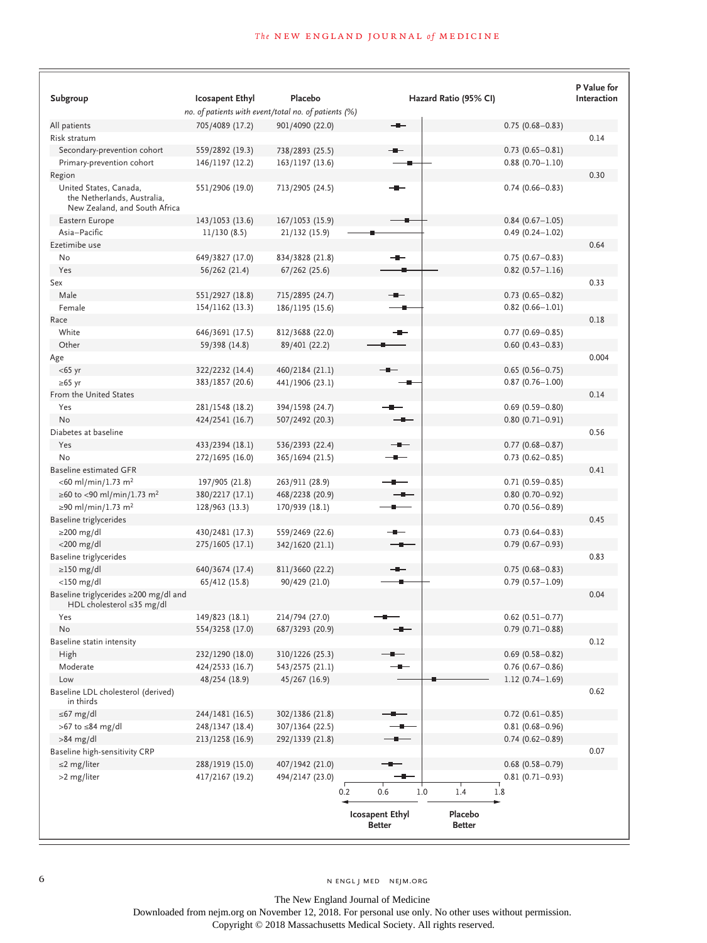|                                                                                        |                                                                                |                 |                                                                     | P Value for            |
|----------------------------------------------------------------------------------------|--------------------------------------------------------------------------------|-----------------|---------------------------------------------------------------------|------------------------|
| Subgroup                                                                               | <b>Icosapent Ethyl</b><br>no. of patients with event/total no. of patients (%) | Placebo         | Hazard Ratio (95% CI)                                               | Interaction            |
| All patients                                                                           | 705/4089 (17.2)                                                                | 901/4090 (22.0) | --                                                                  | $0.75(0.68 - 0.83)$    |
| Risk stratum                                                                           |                                                                                |                 |                                                                     | 0.14                   |
| Secondary-prevention cohort                                                            | 559/2892 (19.3)                                                                | 738/2893 (25.5) |                                                                     | $0.73$ $(0.65 - 0.81)$ |
| Primary-prevention cohort                                                              | 146/1197 (12.2)                                                                | 163/1197 (13.6) |                                                                     | $0.88$ (0.70-1.10)     |
| Region                                                                                 |                                                                                |                 |                                                                     | 0.30                   |
| United States, Canada,<br>the Netherlands, Australia,<br>New Zealand, and South Africa | 551/2906 (19.0)                                                                | 713/2905 (24.5) |                                                                     | $0.74(0.66 - 0.83)$    |
| Eastern Europe                                                                         | 143/1053 (13.6)                                                                | 167/1053 (15.9) |                                                                     | $0.84(0.67 - 1.05)$    |
| Asia-Pacific                                                                           | 11/130(8.5)                                                                    | 21/132 (15.9)   |                                                                     | $0.49(0.24 - 1.02)$    |
| Ezetimibe use                                                                          |                                                                                |                 |                                                                     | 0.64                   |
| No                                                                                     | 649/3827 (17.0)                                                                | 834/3828 (21.8) | -                                                                   | $0.75(0.67 - 0.83)$    |
| Yes                                                                                    | 56/262 (21.4)                                                                  | 67/262 (25.6)   |                                                                     | $0.82$ (0.57-1.16)     |
| Sex                                                                                    |                                                                                |                 |                                                                     | 0.33                   |
| Male                                                                                   | 551/2927 (18.8)                                                                | 715/2895 (24.7) |                                                                     | $0.73$ (0.65-0.82)     |
| Female                                                                                 | 154/1162 (13.3)                                                                | 186/1195 (15.6) |                                                                     | $0.82$ (0.66-1.01)     |
| Race                                                                                   |                                                                                |                 |                                                                     | 0.18                   |
| White                                                                                  | 646/3691 (17.5)                                                                | 812/3688 (22.0) | ╼                                                                   | $0.77(0.69 - 0.85)$    |
| Other                                                                                  | 59/398 (14.8)                                                                  | 89/401 (22.2)   |                                                                     | $0.60$ (0.43-0.83)     |
| Age                                                                                    |                                                                                |                 |                                                                     | 0.004                  |
| $<$ 65 yr                                                                              | 322/2232 (14.4)                                                                | 460/2184 (21.1) |                                                                     | $0.65(0.56 - 0.75)$    |
| ≥65 yr                                                                                 | 383/1857 (20.6)                                                                | 441/1906 (23.1) |                                                                     | $0.87(0.76 - 1.00)$    |
| From the United States                                                                 |                                                                                |                 |                                                                     | 0.14                   |
| Yes                                                                                    | 281/1548 (18.2)                                                                | 394/1598 (24.7) |                                                                     | $0.69$ (0.59-0.80)     |
| No                                                                                     | 424/2541 (16.7)                                                                | 507/2492 (20.3) |                                                                     | $0.80(0.71 - 0.91)$    |
| Diabetes at baseline                                                                   |                                                                                |                 |                                                                     | 0.56                   |
| Yes                                                                                    | 433/2394 (18.1)                                                                | 536/2393 (22.4) | -∎–                                                                 | $0.77(0.68 - 0.87)$    |
| No                                                                                     | 272/1695 (16.0)                                                                | 365/1694 (21.5) |                                                                     | $0.73$ $(0.62 - 0.85)$ |
| <b>Baseline estimated GFR</b>                                                          |                                                                                |                 |                                                                     | 0.41                   |
| $<$ 60 ml/min/1.73 m <sup>2</sup>                                                      | 197/905 (21.8)                                                                 | 263/911 (28.9)  |                                                                     | $0.71(0.59 - 0.85)$    |
| ≥60 to <90 ml/min/1.73 m <sup>2</sup>                                                  | 380/2217 (17.1)                                                                | 468/2238 (20.9) |                                                                     | $0.80(0.70 - 0.92)$    |
| ≥90 ml/min/1.73 m <sup>2</sup>                                                         | 128/963 (13.3)                                                                 | 170/939 (18.1)  |                                                                     | $0.70(0.56 - 0.89)$    |
| Baseline triglycerides                                                                 |                                                                                |                 |                                                                     | 0.45                   |
| $\geq$ 200 mg/dl                                                                       | 430/2481 (17.3)                                                                | 559/2469 (22.6) |                                                                     | $0.73$ $(0.64 - 0.83)$ |
| $<$ 200 mg/dl                                                                          | 275/1605 (17.1)                                                                | 342/1620 (21.1) | ╶                                                                   | $0.79(0.67 - 0.93)$    |
| Baseline triglycerides                                                                 |                                                                                |                 |                                                                     | 0.83                   |
| $\geq$ 150 mg/dl                                                                       | 640/3674 (17.4)                                                                | 811/3660 (22.2) | --                                                                  | $0.75(0.68 - 0.83)$    |
| $<$ 150 mg/dl                                                                          | 65/412 (15.8)                                                                  | 90/429 (21.0)   |                                                                     | $0.79(0.57 - 1.09)$    |
| Baseline triglycerides ≥200 mg/dl and<br>HDL cholesterol ≤35 mg/dl                     |                                                                                |                 |                                                                     | 0.04                   |
| Yes                                                                                    | 149/823 (18.1)                                                                 | 214/794 (27.0)  |                                                                     | $0.62$ (0.51-0.77)     |
| No                                                                                     | 554/3258 (17.0)                                                                | 687/3293 (20.9) |                                                                     | $0.79(0.71 - 0.88)$    |
| Baseline statin intensity                                                              |                                                                                |                 |                                                                     | 0.12                   |
| High                                                                                   | 232/1290 (18.0)                                                                | 310/1226 (25.3) |                                                                     | $0.69$ (0.58-0.82)     |
| Moderate                                                                               | 424/2533 (16.7)                                                                | 543/2575 (21.1) |                                                                     | $0.76$ (0.67-0.86)     |
| Low                                                                                    | 48/254 (18.9)                                                                  | 45/267 (16.9)   |                                                                     | $1.12(0.74 - 1.69)$    |
| Baseline LDL cholesterol (derived)<br>in thirds                                        |                                                                                |                 |                                                                     | 0.62                   |
| $\leq 67$ mg/dl                                                                        | 244/1481 (16.5)                                                                | 302/1386 (21.8) |                                                                     | $0.72(0.61 - 0.85)$    |
| >67 to $\leq$ 84 mg/dl                                                                 | 248/1347 (18.4)                                                                | 307/1364 (22.5) |                                                                     | $0.81(0.68 - 0.96)$    |
| $>84$ mg/dl                                                                            | 213/1258 (16.9)                                                                | 292/1339 (21.8) |                                                                     | $0.74(0.62 - 0.89)$    |
| Baseline high-sensitivity CRP                                                          |                                                                                |                 |                                                                     | 0.07                   |
| $\leq$ 2 mg/liter                                                                      | 288/1919 (15.0)                                                                | 407/1942 (21.0) |                                                                     | $0.68(0.58 - 0.79)$    |
| >2 mg/liter                                                                            | 417/2167 (19.2)                                                                | 494/2147 (23.0) |                                                                     | $0.81(0.71 - 0.93)$    |
|                                                                                        |                                                                                |                 | $1.0$<br>1.4<br>0.2<br>0.6<br>1.8                                   |                        |
|                                                                                        |                                                                                |                 | <b>Icosapent Ethyl</b><br>Placebo<br><b>Better</b><br><b>Better</b> |                        |

The New England Journal of Medicine Downloaded from nejm.org on November 12, 2018. For personal use only. No other uses without permission.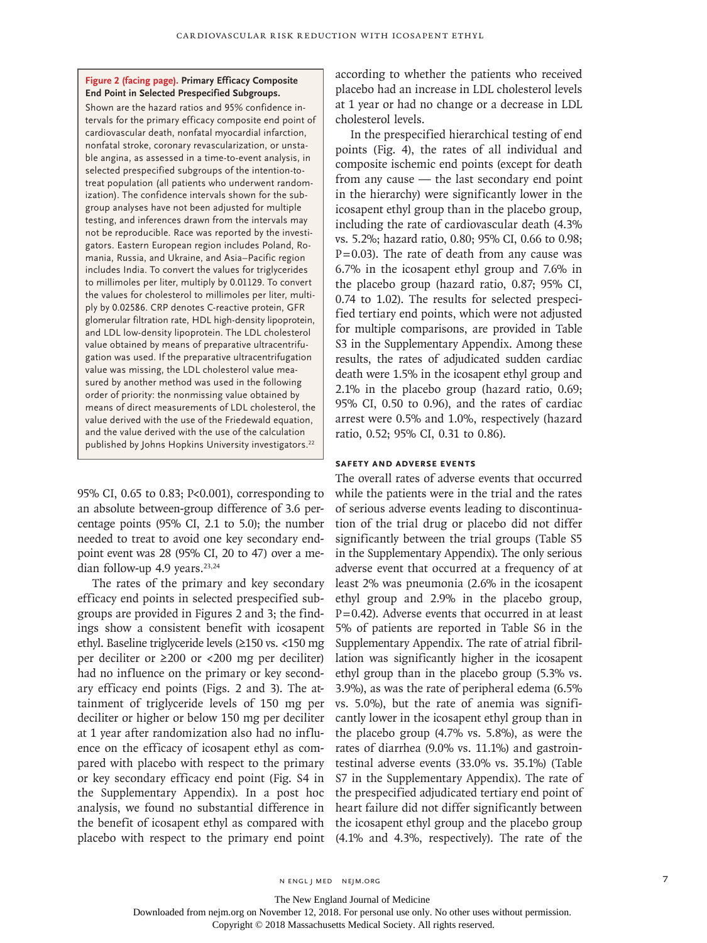#### **Figure 2 (facing page). Primary Efficacy Composite End Point in Selected Prespecified Subgroups.**

Shown are the hazard ratios and 95% confidence intervals for the primary efficacy composite end point of cardiovascular death, nonfatal myocardial infarction, nonfatal stroke, coronary revascularization, or unstable angina, as assessed in a time-to-event analysis, in selected prespecified subgroups of the intention-totreat population (all patients who underwent randomization). The confidence intervals shown for the subgroup analyses have not been adjusted for multiple testing, and inferences drawn from the intervals may not be reproducible. Race was reported by the investigators. Eastern European region includes Poland, Romania, Russia, and Ukraine, and Asia–Pacific region includes India. To convert the values for triglycerides to millimoles per liter, multiply by 0.01129. To convert the values for cholesterol to millimoles per liter, multiply by 0.02586. CRP denotes C-reactive protein, GFR glomerular filtration rate, HDL high-density lipoprotein, and LDL low-density lipoprotein. The LDL cholesterol value obtained by means of preparative ultracentrifugation was used. If the preparative ultracentrifugation value was missing, the LDL cholesterol value measured by another method was used in the following order of priority: the nonmissing value obtained by means of direct measurements of LDL cholesterol, the value derived with the use of the Friedewald equation, and the value derived with the use of the calculation published by Johns Hopkins University investigators.<sup>22</sup>

95% CI, 0.65 to 0.83; P<0.001), corresponding to an absolute between-group difference of 3.6 percentage points (95% CI, 2.1 to 5.0); the number needed to treat to avoid one key secondary endpoint event was 28 (95% CI, 20 to 47) over a median follow-up 4.9 years.<sup>23,24</sup>

The rates of the primary and key secondary efficacy end points in selected prespecified subgroups are provided in Figures 2 and 3; the findings show a consistent benefit with icosapent ethyl. Baseline triglyceride levels (≥150 vs. <150 mg per deciliter or ≥200 or <200 mg per deciliter) had no influence on the primary or key secondary efficacy end points (Figs. 2 and 3). The attainment of triglyceride levels of 150 mg per deciliter or higher or below 150 mg per deciliter at 1 year after randomization also had no influence on the efficacy of icosapent ethyl as compared with placebo with respect to the primary or key secondary efficacy end point (Fig. S4 in the Supplementary Appendix). In a post hoc analysis, we found no substantial difference in the benefit of icosapent ethyl as compared with placebo with respect to the primary end point according to whether the patients who received placebo had an increase in LDL cholesterol levels at 1 year or had no change or a decrease in LDL cholesterol levels.

In the prespecified hierarchical testing of end points (Fig. 4), the rates of all individual and composite ischemic end points (except for death from any cause — the last secondary end point in the hierarchy) were significantly lower in the icosapent ethyl group than in the placebo group, including the rate of cardiovascular death (4.3% vs. 5.2%; hazard ratio, 0.80; 95% CI, 0.66 to 0.98;  $P=0.03$ ). The rate of death from any cause was 6.7% in the icosapent ethyl group and 7.6% in the placebo group (hazard ratio, 0.87; 95% CI, 0.74 to 1.02). The results for selected prespecified tertiary end points, which were not adjusted for multiple comparisons, are provided in Table S3 in the Supplementary Appendix. Among these results, the rates of adjudicated sudden cardiac death were 1.5% in the icosapent ethyl group and 2.1% in the placebo group (hazard ratio, 0.69; 95% CI, 0.50 to 0.96), and the rates of cardiac arrest were 0.5% and 1.0%, respectively (hazard ratio, 0.52; 95% CI, 0.31 to 0.86).

# **Safety and Adverse Events**

The overall rates of adverse events that occurred while the patients were in the trial and the rates of serious adverse events leading to discontinuation of the trial drug or placebo did not differ significantly between the trial groups (Table S5 in the Supplementary Appendix). The only serious adverse event that occurred at a frequency of at least 2% was pneumonia (2.6% in the icosapent ethyl group and 2.9% in the placebo group,  $P=0.42$ ). Adverse events that occurred in at least 5% of patients are reported in Table S6 in the Supplementary Appendix. The rate of atrial fibrillation was significantly higher in the icosapent ethyl group than in the placebo group (5.3% vs. 3.9%), as was the rate of peripheral edema (6.5% vs. 5.0%), but the rate of anemia was significantly lower in the icosapent ethyl group than in the placebo group (4.7% vs. 5.8%), as were the rates of diarrhea (9.0% vs. 11.1%) and gastrointestinal adverse events (33.0% vs. 35.1%) (Table S7 in the Supplementary Appendix). The rate of the prespecified adjudicated tertiary end point of heart failure did not differ significantly between the icosapent ethyl group and the placebo group (4.1% and 4.3%, respectively). The rate of the

The New England Journal of Medicine

Downloaded from nejm.org on November 12, 2018. For personal use only. No other uses without permission.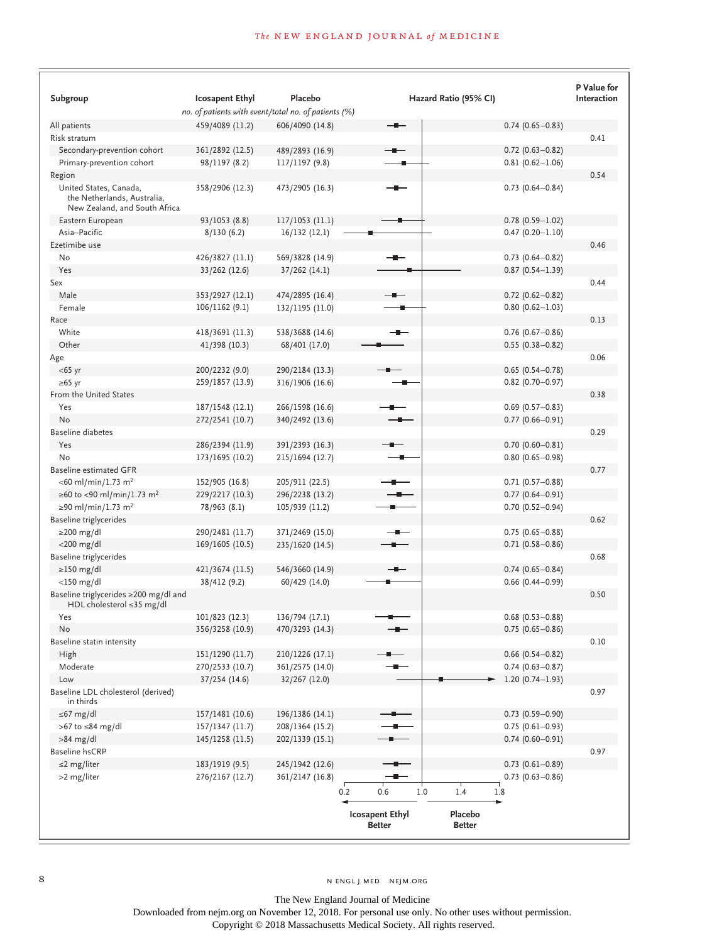| Subgroup                                                                               | <b>Icosapent Ethyl</b>                               | Placebo         |                                         | Hazard Ratio (95% CI)    |                        | P Value for<br>Interaction |
|----------------------------------------------------------------------------------------|------------------------------------------------------|-----------------|-----------------------------------------|--------------------------|------------------------|----------------------------|
|                                                                                        | no. of patients with event/total no. of patients (%) |                 |                                         |                          |                        |                            |
| All patients                                                                           | 459/4089 (11.2)                                      | 606/4090 (14.8) |                                         |                          | $0.74(0.65 - 0.83)$    |                            |
| Risk stratum                                                                           |                                                      |                 |                                         |                          |                        | 0.41                       |
| Secondary-prevention cohort                                                            | 361/2892 (12.5)                                      | 489/2893 (16.9) |                                         |                          | $0.72$ (0.63-0.82)     |                            |
| Primary-prevention cohort                                                              | 98/1197 (8.2)                                        | 117/1197 (9.8)  |                                         |                          | $0.81(0.62 - 1.06)$    |                            |
| Region                                                                                 |                                                      |                 |                                         |                          |                        | 0.54                       |
| United States, Canada,<br>the Netherlands, Australia,<br>New Zealand, and South Africa | 358/2906 (12.3)                                      | 473/2905 (16.3) |                                         |                          | $0.73$ $(0.64 - 0.84)$ |                            |
| Eastern European                                                                       | 93/1053 (8.8)                                        | 117/1053 (11.1) |                                         |                          | $0.78(0.59 - 1.02)$    |                            |
| Asia-Pacific                                                                           | 8/130(6.2)                                           | 16/132(12.1)    |                                         |                          | $0.47(0.20 - 1.10)$    |                            |
| Ezetimibe use                                                                          |                                                      |                 |                                         |                          |                        | 0.46                       |
| No                                                                                     | 426/3827 (11.1)                                      | 569/3828 (14.9) |                                         |                          | $0.73$ $(0.64 - 0.82)$ |                            |
| Yes                                                                                    | 33/262 (12.6)                                        | 37/262 (14.1)   |                                         |                          | $0.87(0.54 - 1.39)$    |                            |
| Sex                                                                                    |                                                      |                 |                                         |                          |                        | 0.44                       |
| Male                                                                                   | 353/2927 (12.1)                                      | 474/2895 (16.4) |                                         |                          | $0.72$ (0.62-0.82)     |                            |
| Female                                                                                 | 106/1162 (9.1)                                       | 132/1195 (11.0) |                                         |                          | $0.80(0.62 - 1.03)$    |                            |
| Race                                                                                   |                                                      |                 |                                         |                          |                        | 0.13                       |
| White                                                                                  | 418/3691 (11.3)                                      | 538/3688 (14.6) | --                                      |                          | $0.76$ (0.67-0.86)     |                            |
| Other                                                                                  | 41/398 (10.3)                                        | 68/401 (17.0)   |                                         |                          | $0.55(0.38 - 0.82)$    |                            |
| Age                                                                                    |                                                      |                 |                                         |                          |                        | 0.06                       |
| $<$ 65 yr                                                                              | 200/2232 (9.0)                                       | 290/2184 (13.3) |                                         |                          | $0.65(0.54 - 0.78)$    |                            |
| ≥65 yr                                                                                 | 259/1857 (13.9)                                      | 316/1906 (16.6) |                                         |                          | $0.82$ (0.70-0.97)     |                            |
| From the United States                                                                 |                                                      |                 |                                         |                          |                        | 0.38                       |
| Yes                                                                                    | 187/1548 (12.1)                                      | 266/1598 (16.6) |                                         |                          | $0.69$ (0.57-0.83)     |                            |
| No                                                                                     | 272/2541 (10.7)                                      | 340/2492 (13.6) |                                         |                          | $0.77(0.66 - 0.91)$    |                            |
| Baseline diabetes                                                                      |                                                      |                 |                                         |                          |                        | 0.29                       |
| Yes                                                                                    | 286/2394 (11.9)                                      | 391/2393 (16.3) |                                         |                          | $0.70(0.60 - 0.81)$    |                            |
| No                                                                                     | 173/1695 (10.2)                                      | 215/1694 (12.7) |                                         |                          | $0.80(0.65 - 0.98)$    |                            |
| <b>Baseline estimated GFR</b>                                                          |                                                      |                 |                                         |                          |                        | 0.77                       |
| $<$ 60 ml/min/1.73 m <sup>2</sup>                                                      | 152/905 (16.8)                                       | 205/911 (22.5)  |                                         |                          | $0.71(0.57 - 0.88)$    |                            |
| ≥60 to <90 ml/min/1.73 m <sup>2</sup>                                                  | 229/2217 (10.3)                                      | 296/2238 (13.2) |                                         |                          | $0.77(0.64 - 0.91)$    |                            |
| ≥90 ml/min/1.73 m <sup>2</sup>                                                         | 78/963 (8.1)                                         | 105/939 (11.2)  |                                         |                          | $0.70(0.52 - 0.94)$    |                            |
| Baseline triglycerides                                                                 |                                                      |                 |                                         |                          |                        | 0.62                       |
| $\geq$ 200 mg/dl                                                                       | 290/2481 (11.7)                                      | 371/2469 (15.0) |                                         |                          | $0.75(0.65 - 0.88)$    |                            |
| $<$ 200 mg/dl                                                                          | 169/1605 (10.5)                                      | 235/1620 (14.5) |                                         |                          | $0.71(0.58 - 0.86)$    |                            |
| Baseline triglycerides                                                                 |                                                      |                 |                                         |                          |                        | 0.68                       |
| $\geq$ 150 mg/dl                                                                       | 421/3674 (11.5)                                      | 546/3660 (14.9) |                                         |                          | $0.74(0.65 - 0.84)$    |                            |
| $<$ 150 mg/dl                                                                          | 38/412 (9.2)                                         | 60/429 (14.0)   |                                         |                          | $0.66$ (0.44-0.99)     |                            |
| Baseline triglycerides ≥200 mg/dl and<br>HDL cholesterol $\leq$ 35 mg/dl               |                                                      |                 |                                         |                          |                        | 0.50                       |
| Yes                                                                                    | 101/823 (12.3)                                       | 136/794 (17.1)  |                                         |                          | $0.68$ (0.53-0.88)     |                            |
| No                                                                                     | 356/3258 (10.9)                                      | 470/3293 (14.3) |                                         |                          | $0.75(0.65 - 0.86)$    | 0.10                       |
| Baseline statin intensity<br>High                                                      | 151/1290 (11.7)                                      | 210/1226 (17.1) |                                         |                          | $0.66$ (0.54-0.82)     |                            |
| Moderate                                                                               | 270/2533 (10.7)                                      | 361/2575 (14.0) |                                         |                          | $0.74(0.63 - 0.87)$    |                            |
| Low                                                                                    | 37/254(14.6)                                         | 32/267 (12.0)   |                                         |                          | $1.20(0.74 - 1.93)$    |                            |
| Baseline LDL cholesterol (derived)<br>in thirds                                        |                                                      |                 |                                         |                          |                        | 0.97                       |
| $\leq 67$ mg/dl                                                                        | 157/1481 (10.6)                                      | 196/1386 (14.1) |                                         |                          | $0.73$ $(0.59 - 0.90)$ |                            |
| >67 to $\leq$ 84 mg/dl                                                                 | 157/1347 (11.7)                                      | 208/1364 (15.2) |                                         |                          | $0.75(0.61 - 0.93)$    |                            |
| $>84$ mg/dl                                                                            | 145/1258 (11.5)                                      | 202/1339 (15.1) |                                         |                          | $0.74(0.60 - 0.91)$    |                            |
| Baseline hsCRP                                                                         |                                                      |                 |                                         |                          |                        | 0.97                       |
| $\leq$ 2 mg/liter                                                                      | 183/1919 (9.5)                                       | 245/1942 (12.6) |                                         |                          | $0.73$ $(0.61 - 0.89)$ |                            |
| >2 mg/liter                                                                            | 276/2167 (12.7)                                      | 361/2147 (16.8) |                                         |                          | $0.73$ $(0.63 - 0.86)$ |                            |
|                                                                                        |                                                      |                 | 0.2<br>0.6                              | 1.0<br>1.4<br>1.8        |                        |                            |
|                                                                                        |                                                      |                 | <b>Icosapent Ethyl</b><br><b>Better</b> | Placebo<br><b>Better</b> |                        |                            |

The New England Journal of Medicine Downloaded from nejm.org on November 12, 2018. For personal use only. No other uses without permission.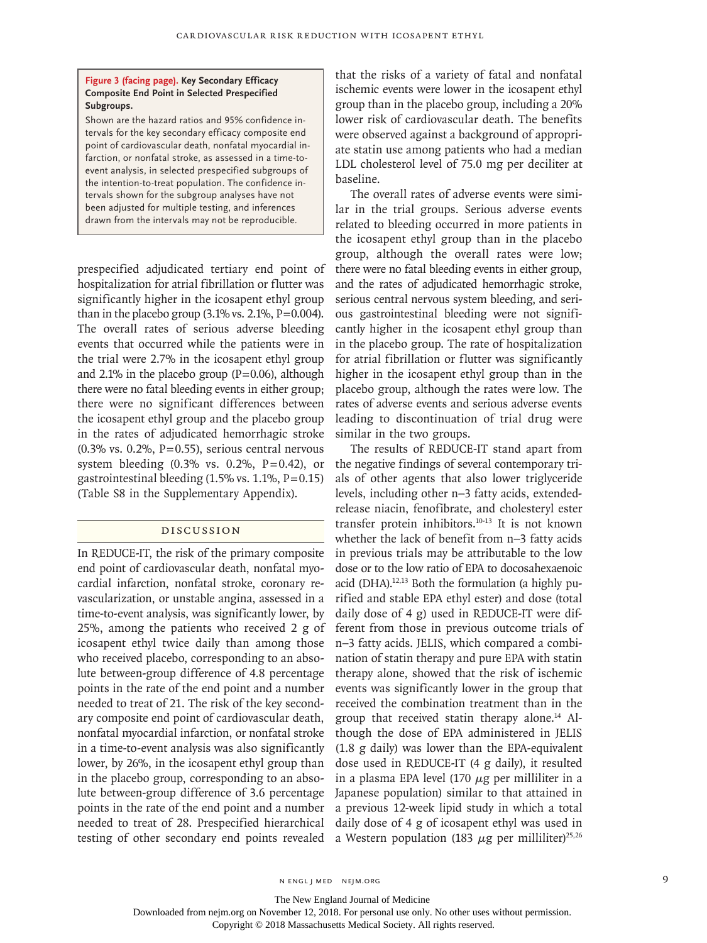#### **Figure 3 (facing page). Key Secondary Efficacy Composite End Point in Selected Prespecified Subgroups.**

Shown are the hazard ratios and 95% confidence intervals for the key secondary efficacy composite end point of cardiovascular death, nonfatal myocardial infarction, or nonfatal stroke, as assessed in a time-toevent analysis, in selected prespecified subgroups of the intention-to-treat population. The confidence intervals shown for the subgroup analyses have not been adjusted for multiple testing, and inferences drawn from the intervals may not be reproducible.

prespecified adjudicated tertiary end point of hospitalization for atrial fibrillation or flutter was significantly higher in the icosapent ethyl group than in the placebo group  $(3.1\% \text{ vs. } 2.1\%, \text{ P} = 0.004)$ . The overall rates of serious adverse bleeding events that occurred while the patients were in the trial were 2.7% in the icosapent ethyl group and 2.1% in the placebo group  $(P=0.06)$ , although there were no fatal bleeding events in either group; there were no significant differences between the icosapent ethyl group and the placebo group in the rates of adjudicated hemorrhagic stroke  $(0.3\%$  vs.  $0.2\%$ , P=0.55), serious central nervous system bleeding  $(0.3\% \text{ vs. } 0.2\%, \text{ P=0.42}), \text{ or }$ gastrointestinal bleeding  $(1.5\% \text{ vs. } 1.1\%, \text{P} = 0.15)$ (Table S8 in the Supplementary Appendix).

# Discussion

In REDUCE-IT, the risk of the primary composite end point of cardiovascular death, nonfatal myocardial infarction, nonfatal stroke, coronary revascularization, or unstable angina, assessed in a time-to-event analysis, was significantly lower, by 25%, among the patients who received 2 g of icosapent ethyl twice daily than among those who received placebo, corresponding to an absolute between-group difference of 4.8 percentage points in the rate of the end point and a number needed to treat of 21. The risk of the key secondary composite end point of cardiovascular death, nonfatal myocardial infarction, or nonfatal stroke in a time-to-event analysis was also significantly lower, by 26%, in the icosapent ethyl group than in the placebo group, corresponding to an absolute between-group difference of 3.6 percentage points in the rate of the end point and a number needed to treat of 28. Prespecified hierarchical testing of other secondary end points revealed that the risks of a variety of fatal and nonfatal ischemic events were lower in the icosapent ethyl group than in the placebo group, including a 20% lower risk of cardiovascular death. The benefits were observed against a background of appropriate statin use among patients who had a median LDL cholesterol level of 75.0 mg per deciliter at baseline.

The overall rates of adverse events were similar in the trial groups. Serious adverse events related to bleeding occurred in more patients in the icosapent ethyl group than in the placebo group, although the overall rates were low; there were no fatal bleeding events in either group, and the rates of adjudicated hemorrhagic stroke, serious central nervous system bleeding, and serious gastrointestinal bleeding were not significantly higher in the icosapent ethyl group than in the placebo group. The rate of hospitalization for atrial fibrillation or flutter was significantly higher in the icosapent ethyl group than in the placebo group, although the rates were low. The rates of adverse events and serious adverse events leading to discontinuation of trial drug were similar in the two groups.

The results of REDUCE-IT stand apart from the negative findings of several contemporary trials of other agents that also lower triglyceride levels, including other n−3 fatty acids, extendedrelease niacin, fenofibrate, and cholesteryl ester transfer protein inhibitors.10-13 It is not known whether the lack of benefit from n−3 fatty acids in previous trials may be attributable to the low dose or to the low ratio of EPA to docosahexaenoic acid (DHA).12,13 Both the formulation (a highly purified and stable EPA ethyl ester) and dose (total daily dose of 4 g) used in REDUCE-IT were different from those in previous outcome trials of n−3 fatty acids. JELIS, which compared a combination of statin therapy and pure EPA with statin therapy alone, showed that the risk of ischemic events was significantly lower in the group that received the combination treatment than in the group that received statin therapy alone.14 Although the dose of EPA administered in JELIS (1.8 g daily) was lower than the EPA-equivalent dose used in REDUCE-IT (4 g daily), it resulted in a plasma EPA level (170  $\mu$ g per milliliter in a Japanese population) similar to that attained in a previous 12-week lipid study in which a total daily dose of 4 g of icosapent ethyl was used in a Western population (183 μg per milliliter)<sup>25,26</sup>

n engl j med nejm.org 9

The New England Journal of Medicine

Downloaded from nejm.org on November 12, 2018. For personal use only. No other uses without permission.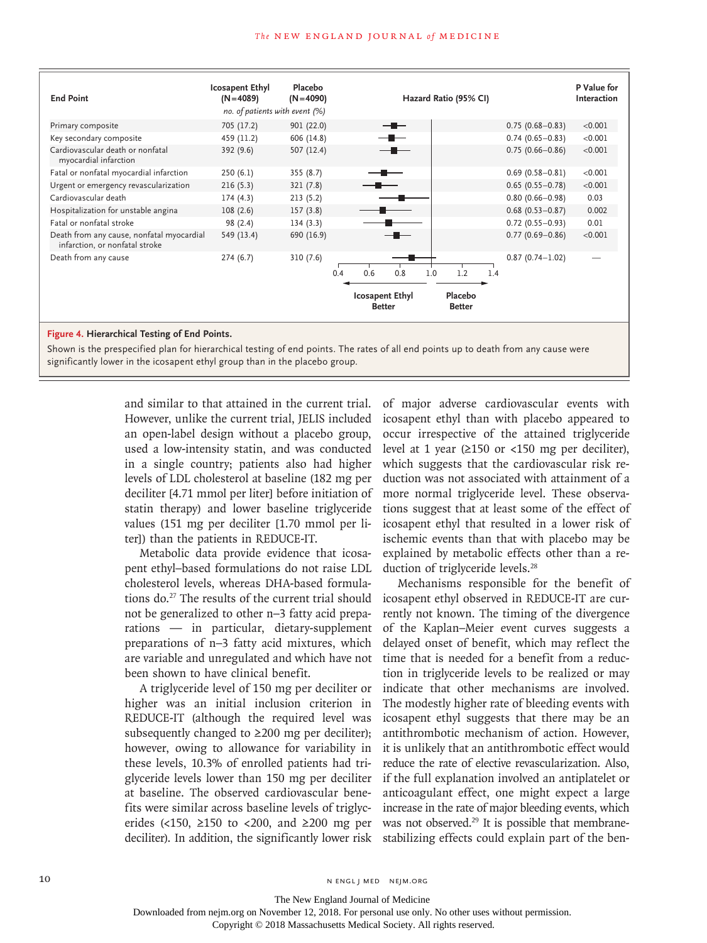#### **The NEW ENGLAND JOURNAL of MEDICINE**

| <b>End Point</b>                                                            | <b>Icosapent Ethyl</b><br>$(N=4089)$<br>no. of patients with event (%) | Placebo<br>$(N=4090)$ | Hazard Ratio (95% CI)                   |                                   | P Value for<br>Interaction |
|-----------------------------------------------------------------------------|------------------------------------------------------------------------|-----------------------|-----------------------------------------|-----------------------------------|----------------------------|
| Primary composite                                                           | 705 (17.2)                                                             | 901 (22.0)            |                                         | $0.75(0.68 - 0.83)$               | < 0.001                    |
| Key secondary composite                                                     | 459 (11.2)                                                             | 606 (14.8)            |                                         | $0.74(0.65 - 0.83)$               | < 0.001                    |
| Cardiovascular death or nonfatal<br>myocardial infarction                   | 392 (9.6)                                                              | 507 (12.4)            |                                         | $0.75(0.66 - 0.86)$               | < 0.001                    |
| Fatal or nonfatal myocardial infarction                                     | 250(6.1)                                                               | 355(8.7)              | —■——                                    | $0.69(0.58 - 0.81)$               | < 0.001                    |
| Urgent or emergency revascularization                                       | 216(5.3)                                                               | 321 (7.8)             |                                         | $0.65(0.55 - 0.78)$               | < 0.001                    |
| Cardiovascular death                                                        | 174(4.3)                                                               | 213(5.2)              |                                         | $0.80(0.66 - 0.98)$               | 0.03                       |
| Hospitalization for unstable angina                                         | 108(2.6)                                                               | 157(3.8)              |                                         | $0.68$ (0.53-0.87)                | 0.002                      |
| Fatal or nonfatal stroke                                                    | 98 (2.4)                                                               | 134(3.3)              |                                         | $0.72(0.55 - 0.93)$               | 0.01                       |
| Death from any cause, nonfatal myocardial<br>infarction, or nonfatal stroke | 549 (13.4)                                                             | 690 (16.9)            |                                         | $0.77(0.69 - 0.86)$               | < 0.001                    |
| Death from any cause                                                        | 274(6.7)                                                               | 310(7.6)<br>0.4       | 0.8<br>0.6<br>1.0                       | $0.87(0.74 - 1.02)$<br>1.2<br>1.4 |                            |
|                                                                             |                                                                        |                       | <b>Icosapent Ethyl</b><br><b>Better</b> | Placebo<br><b>Better</b>          |                            |

### **Figure 4. Hierarchical Testing of End Points.**

Shown is the prespecified plan for hierarchical testing of end points. The rates of all end points up to death from any cause were significantly lower in the icosapent ethyl group than in the placebo group.

> and similar to that attained in the current trial. However, unlike the current trial, JELIS included an open-label design without a placebo group, used a low-intensity statin, and was conducted in a single country; patients also had higher levels of LDL cholesterol at baseline (182 mg per deciliter [4.71 mmol per liter] before initiation of statin therapy) and lower baseline triglyceride values (151 mg per deciliter [1.70 mmol per liter]) than the patients in REDUCE-IT.

> Metabolic data provide evidence that icosapent ethyl–based formulations do not raise LDL cholesterol levels, whereas DHA-based formulations do.27 The results of the current trial should not be generalized to other n−3 fatty acid preparations — in particular, dietary-supplement preparations of n−3 fatty acid mixtures, which are variable and unregulated and which have not been shown to have clinical benefit.

> A triglyceride level of 150 mg per deciliter or higher was an initial inclusion criterion in REDUCE-IT (although the required level was subsequently changed to  $\geq 200$  mg per deciliter); however, owing to allowance for variability in these levels, 10.3% of enrolled patients had triglyceride levels lower than 150 mg per deciliter at baseline. The observed cardiovascular benefits were similar across baseline levels of triglycerides (<150,  $\geq$ 150 to <200, and  $\geq$ 200 mg per deciliter). In addition, the significantly lower risk

of major adverse cardiovascular events with icosapent ethyl than with placebo appeared to occur irrespective of the attained triglyceride level at 1 year ( $\geq$ 150 or <150 mg per deciliter), which suggests that the cardiovascular risk reduction was not associated with attainment of a more normal triglyceride level. These observations suggest that at least some of the effect of icosapent ethyl that resulted in a lower risk of ischemic events than that with placebo may be explained by metabolic effects other than a reduction of triglyceride levels.<sup>28</sup>

Mechanisms responsible for the benefit of icosapent ethyl observed in REDUCE-IT are currently not known. The timing of the divergence of the Kaplan–Meier event curves suggests a delayed onset of benefit, which may reflect the time that is needed for a benefit from a reduction in triglyceride levels to be realized or may indicate that other mechanisms are involved. The modestly higher rate of bleeding events with icosapent ethyl suggests that there may be an antithrombotic mechanism of action. However, it is unlikely that an antithrombotic effect would reduce the rate of elective revascularization. Also, if the full explanation involved an antiplatelet or anticoagulant effect, one might expect a large increase in the rate of major bleeding events, which was not observed.<sup>29</sup> It is possible that membranestabilizing effects could explain part of the ben-

10 N ENGL J MED NEJM.ORG

The New England Journal of Medicine

Downloaded from nejm.org on November 12, 2018. For personal use only. No other uses without permission.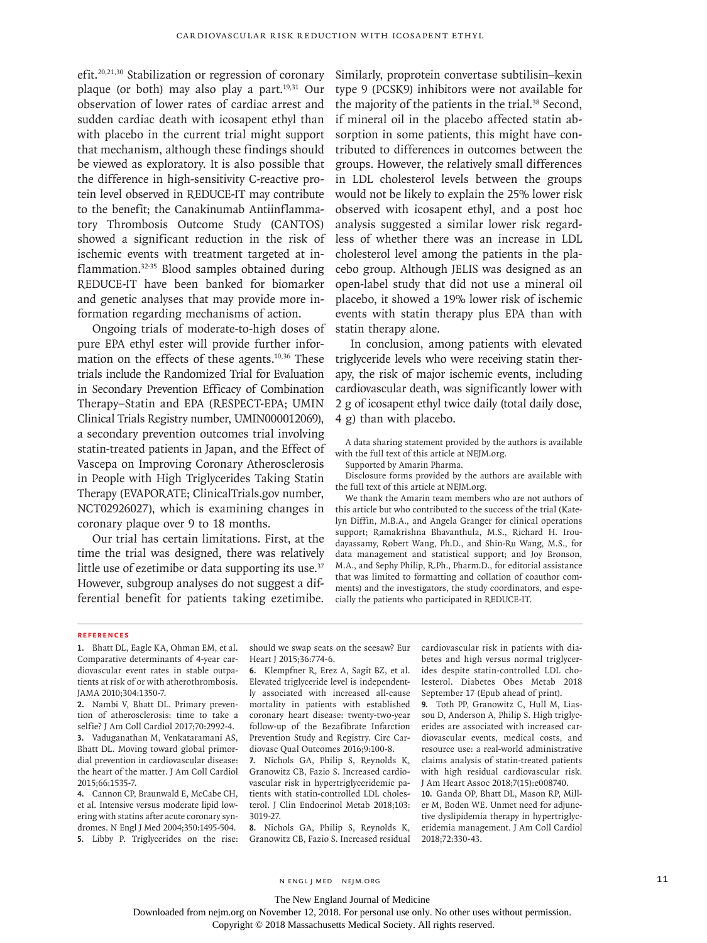efit.20,21,30 Stabilization or regression of coronary plaque (or both) may also play a part.19,31 Our observation of lower rates of cardiac arrest and sudden cardiac death with icosapent ethyl than with placebo in the current trial might support that mechanism, although these findings should be viewed as exploratory. It is also possible that the difference in high-sensitivity C-reactive protein level observed in REDUCE-IT may contribute to the benefit; the Canakinumab Antiinflammatory Thrombosis Outcome Study (CANTOS) showed a significant reduction in the risk of ischemic events with treatment targeted at inflammation.32-35 Blood samples obtained during REDUCE-IT have been banked for biomarker and genetic analyses that may provide more information regarding mechanisms of action.

Ongoing trials of moderate-to-high doses of pure EPA ethyl ester will provide further information on the effects of these agents.<sup>10,36</sup> These trials include the Randomized Trial for Evaluation in Secondary Prevention Efficacy of Combination Therapy–Statin and EPA (RESPECT-EPA; UMIN Clinical Trials Registry number, UMIN000012069), a secondary prevention outcomes trial involving statin-treated patients in Japan, and the Effect of Vascepa on Improving Coronary Atherosclerosis in People with High Triglycerides Taking Statin Therapy (EVAPORATE; ClinicalTrials.gov number, NCT02926027), which is examining changes in coronary plaque over 9 to 18 months.

Our trial has certain limitations. First, at the time the trial was designed, there was relatively little use of ezetimibe or data supporting its use.<sup>37</sup> However, subgroup analyses do not suggest a differential benefit for patients taking ezetimibe.

Similarly, proprotein convertase subtilisin–kexin type 9 (PCSK9) inhibitors were not available for the majority of the patients in the trial.<sup>38</sup> Second, if mineral oil in the placebo affected statin absorption in some patients, this might have contributed to differences in outcomes between the groups. However, the relatively small differences in LDL cholesterol levels between the groups would not be likely to explain the 25% lower risk observed with icosapent ethyl, and a post hoc analysis suggested a similar lower risk regardless of whether there was an increase in LDL cholesterol level among the patients in the placebo group. Although JELIS was designed as an open-label study that did not use a mineral oil placebo, it showed a 19% lower risk of ischemic events with statin therapy plus EPA than with statin therapy alone.

In conclusion, among patients with elevated triglyceride levels who were receiving statin therapy, the risk of major ischemic events, including cardiovascular death, was significantly lower with 2 g of icosapent ethyl twice daily (total daily dose, 4 g) than with placebo.

A data sharing statement provided by the authors is available with the full text of this article at NEJM.org.

Supported by Amarin Pharma.

Disclosure forms provided by the authors are available with the full text of this article at NEJM.org.

We thank the Amarin team members who are not authors of this article but who contributed to the success of the trial (Katelyn Diffin, M.B.A., and Angela Granger for clinical operations support; Ramakrishna Bhavanthula, M.S., Richard H. Iroudayassamy, Robert Wang, Ph.D., and Shin-Ru Wang, M.S., for data management and statistical support; and Joy Bronson, M.A., and Sephy Philip, R.Ph., Pharm.D., for editorial assistance that was limited to formatting and collation of coauthor comments) and the investigators, the study coordinators, and especially the patients who participated in REDUCE-IT.

#### **References**

**1.** Bhatt DL, Eagle KA, Ohman EM, et al. Comparative determinants of 4-year cardiovascular event rates in stable outpatients at risk of or with atherothrombosis. JAMA 2010;304:1350-7.

**2.** Nambi V, Bhatt DL. Primary prevention of atherosclerosis: time to take a selfie? J Am Coll Cardiol 2017;70:2992-4. **3.** Vaduganathan M, Venkataramani AS, Bhatt DL. Moving toward global primordial prevention in cardiovascular disease: the heart of the matter. J Am Coll Cardiol 2015;66:1535-7.

**4.** Cannon CP, Braunwald E, McCabe CH, et al. Intensive versus moderate lipid lowering with statins after acute coronary syndromes. N Engl J Med 2004;350:1495-504. **5.** Libby P. Triglycerides on the rise:

should we swap seats on the seesaw? Eur Heart J 2015;36:774-6.

**6.** Klempfner R, Erez A, Sagit BZ, et al. Elevated triglyceride level is independently associated with increased all-cause mortality in patients with established coronary heart disease: twenty-two-year follow-up of the Bezafibrate Infarction Prevention Study and Registry. Circ Cardiovasc Qual Outcomes 2016;9:100-8.

**7.** Nichols GA, Philip S, Reynolds K, Granowitz CB, Fazio S. Increased cardiovascular risk in hypertriglyceridemic patients with statin-controlled LDL cholesterol. J Clin Endocrinol Metab 2018;103: 3019-27.

**8.** Nichols GA, Philip S, Reynolds K, Granowitz CB, Fazio S. Increased residual cardiovascular risk in patients with diabetes and high versus normal triglycerides despite statin-controlled LDL cholesterol. Diabetes Obes Metab 2018 September 17 (Epub ahead of print).

**9.** Toth PP, Granowitz C, Hull M, Liassou D, Anderson A, Philip S. High triglycerides are associated with increased cardiovascular events, medical costs, and resource use: a real-world administrative claims analysis of statin-treated patients with high residual cardiovascular risk. J Am Heart Assoc 2018;7(15):e008740. **10.** Ganda OP, Bhatt DL, Mason RP, Mill-

er M, Boden WE. Unmet need for adjunctive dyslipidemia therapy in hypertriglyceridemia management. J Am Coll Cardiol 2018;72:330-43.

The New England Journal of Medicine

Downloaded from nejm.org on November 12, 2018. For personal use only. No other uses without permission.